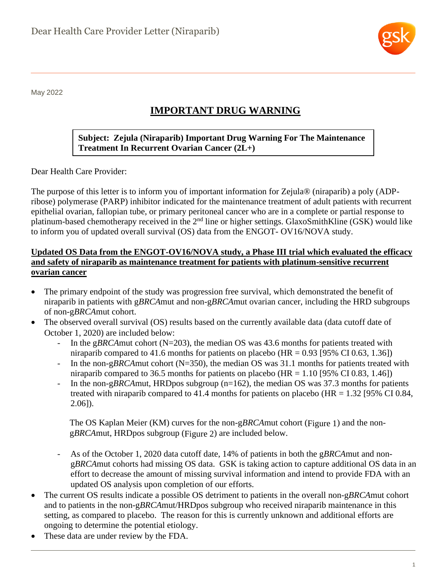

May 2022

# **IMPORTANT DRUG WARNING**

# **Subject: Zejula (Niraparib) Important Drug Warning For The Maintenance Treatment In Recurrent Ovarian Cancer (2L+)**

Dear Health Care Provider:

The purpose of this letter is to inform you of important information for Zejula® (niraparib) a poly (ADPribose) polymerase (PARP) inhibitor indicated for the maintenance treatment of adult patients with recurrent epithelial ovarian, fallopian tube, or primary peritoneal cancer who are in a complete or partial response to platinum-based chemotherapy received in the 2nd line or higher settings. GlaxoSmithKline (GSK) would like to inform you of updated overall survival (OS) data from the ENGOT- OV16/NOVA study.

#### **Updated OS Data from the ENGOT-OV16/NOVA study, a Phase III trial which evaluated the efficacy and safety of niraparib as maintenance treatment for patients with platinum-sensitive recurrent ovarian cancer**

- The primary endpoint of the study was progression free survival, which demonstrated the benefit of niraparib in patients with g*BRCA*mut and non-g*BRCA*mut ovarian cancer, including the HRD subgroups of non-g*BRCA*mut cohort.
- The observed overall survival (OS) results based on the currently available data (data cutoff date of October 1, 2020) are included below:
	- In the g*BRCA*mut cohort (N=203), the median OS was 43.6 months for patients treated with niraparib compared to 41.6 months for patients on placebo (HR =  $0.93$  [95% CI 0.63, 1.36])
	- In the non-g*BRCA*mut cohort (N=350), the median OS was 31.1 months for patients treated with niraparib compared to 36.5 months for patients on placebo (HR =  $1.10$  [95% CI 0.83, 1.46])
	- In the non-g*BRCA*mut, HRDpos subgroup (n=162), the median OS was 37.3 months for patients treated with niraparib compared to 41.4 months for patients on placebo ( $HR = 1.32$  [95% CI 0.84, 2.06]).

The OS Kaplan Meier (KM) curves for the non-g*BRCA*mut cohort [\(Figure 1\)](#page-1-0) and the nong*BRCA*mut, HRDpos subgroup [\(Figure 2\)](#page-1-1) are included below.

- As of the October 1, 2020 data cutoff date, 14% of patients in both the g*BRCA*mut and nong*BRCA*mut cohorts had missing OS data. GSK is taking action to capture additional OS data in an effort to decrease the amount of missing survival information and intend to provide FDA with an updated OS analysis upon completion of our efforts.
- The current OS results indicate a possible OS detriment to patients in the overall non-g*BRCA*mut cohort and to patients in the non-g*BRCA*mut/HRDpos subgroup who received niraparib maintenance in this setting, as compared to placebo. The reason for this is currently unknown and additional efforts are ongoing to determine the potential etiology.
- These data are under review by the FDA.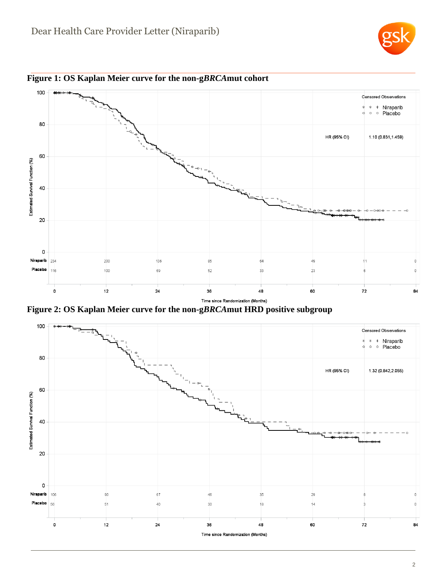



<span id="page-1-0"></span>**Figure 1: OS Kaplan Meier curve for the non-g***BRCA***mut cohort**

<span id="page-1-1"></span>**Figure 2: OS Kaplan Meier curve for the non-g***BRCA***mut HRD positive subgroup**